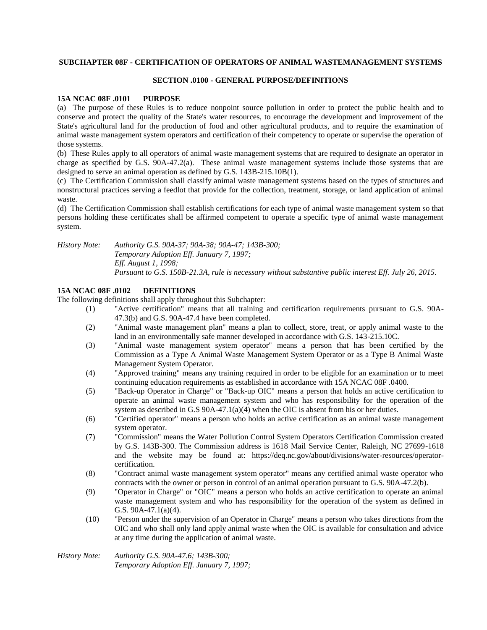### **SUBCHAPTER 08F - CERTIFICATION OF OPERATORS OF ANIMAL WASTEMANAGEMENT SYSTEMS**

### **SECTION .0100 - GENERAL PURPOSE/DEFINITIONS**

### **15A NCAC 08F .0101 PURPOSE**

(a) The purpose of these Rules is to reduce nonpoint source pollution in order to protect the public health and to conserve and protect the quality of the State's water resources, to encourage the development and improvement of the State's agricultural land for the production of food and other agricultural products, and to require the examination of animal waste management system operators and certification of their competency to operate or supervise the operation of those systems.

(b) These Rules apply to all operators of animal waste management systems that are required to designate an operator in charge as specified by G.S. 90A-47.2(a). These animal waste management systems include those systems that are designed to serve an animal operation as defined by G.S. 143B-215.10B(1).

(c) The Certification Commission shall classify animal waste management systems based on the types of structures and nonstructural practices serving a feedlot that provide for the collection, treatment, storage, or land application of animal waste.

(d) The Certification Commission shall establish certifications for each type of animal waste management system so that persons holding these certificates shall be affirmed competent to operate a specific type of animal waste management system.

*History Note: Authority G.S. 90A-37; 90A-38; 90A-47; 143B-300; Temporary Adoption Eff. January 7, 1997; Eff. August 1, 1998; Pursuant to G.S. 150B-21.3A, rule is necessary without substantive public interest Eff. July 26, 2015.*

# **15A NCAC 08F .0102 DEFINITIONS**

The following definitions shall apply throughout this Subchapter:

- (1) "Active certification" means that all training and certification requirements pursuant to G.S. 90A-47.3(b) and G.S. 90A-47.4 have been completed.
- (2) "Animal waste management plan" means a plan to collect, store, treat, or apply animal waste to the land in an environmentally safe manner developed in accordance with G.S. 143-215.10C.
- (3) "Animal waste management system operator" means a person that has been certified by the Commission as a Type A Animal Waste Management System Operator or as a Type B Animal Waste Management System Operator.
- (4) "Approved training" means any training required in order to be eligible for an examination or to meet continuing education requirements as established in accordance with 15A NCAC 08F .0400.
- (5) "Back-up Operator in Charge" or "Back-up OIC" means a person that holds an active certification to operate an animal waste management system and who has responsibility for the operation of the system as described in G.S  $90A-47.1(a)(4)$  when the OIC is absent from his or her duties.
- (6) "Certified operator" means a person who holds an active certification as an animal waste management system operator.
- (7) "Commission" means the Water Pollution Control System Operators Certification Commission created by G.S. 143B-300. The Commission address is 1618 Mail Service Center, Raleigh, NC 27699-1618 and the website may be found at: https://deq.nc.gov/about/divisions/water-resources/operatorcertification.
- (8) "Contract animal waste management system operator" means any certified animal waste operator who contracts with the owner or person in control of an animal operation pursuant to G.S. 90A-47.2(b).
- (9) "Operator in Charge" or "OIC" means a person who holds an active certification to operate an animal waste management system and who has responsibility for the operation of the system as defined in G.S. 90A-47.1(a)(4).
- (10) "Person under the supervision of an Operator in Charge" means a person who takes directions from the OIC and who shall only land apply animal waste when the OIC is available for consultation and advice at any time during the application of animal waste.

*History Note: Authority G.S. 90A-47.6; 143B-300; Temporary Adoption Eff. January 7, 1997;*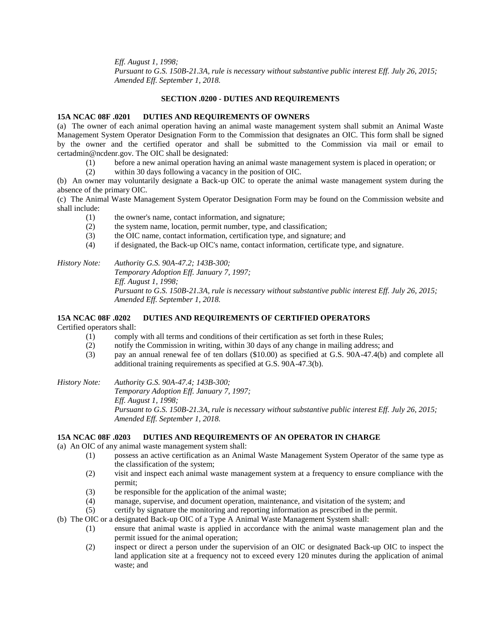*Eff. August 1, 1998;*

*Pursuant to G.S. 150B-21.3A, rule is necessary without substantive public interest Eff. July 26, 2015; Amended Eff. September 1, 2018.*

## **SECTION .0200 - DUTIES AND REQUIREMENTS**

## **15A NCAC 08F .0201 DUTIES AND REQUIREMENTS OF OWNERS**

(a) The owner of each animal operation having an animal waste management system shall submit an Animal Waste Management System Operator Designation Form to the Commission that designates an OIC. This form shall be signed by the owner and the certified operator and shall be submitted to the Commission via mail or email to certadmin@ncdenr.gov. The OIC shall be designated:

- (1) before a new animal operation having an animal waste management system is placed in operation; or
- (2) within 30 days following a vacancy in the position of OIC.

(b) An owner may voluntarily designate a Back-up OIC to operate the animal waste management system during the absence of the primary OIC.

(c) The Animal Waste Management System Operator Designation Form may be found on the Commission website and shall include:

- (1) the owner's name, contact information, and signature;
- (2) the system name, location, permit number, type, and classification;
- (3) the OIC name, contact information, certification type, and signature; and
- (4) if designated, the Back-up OIC's name, contact information, certificate type, and signature.

*History Note: Authority G.S. 90A-47.2; 143B-300;*

*Temporary Adoption Eff. January 7, 1997; Eff. August 1, 1998; Pursuant to G.S. 150B-21.3A, rule is necessary without substantive public interest Eff. July 26, 2015; Amended Eff. September 1, 2018.*

#### **15A NCAC 08F .0202 DUTIES AND REQUIREMENTS OF CERTIFIED OPERATORS** Certified operators shall:

- (1) comply with all terms and conditions of their certification as set forth in these Rules;
- (2) notify the Commission in writing, within 30 days of any change in mailing address; and
- (3) pay an annual renewal fee of ten dollars (\$10.00) as specified at G.S. 90A-47.4(b) and complete all additional training requirements as specified at G.S. 90A-47.3(b).

*History Note: Authority G.S. 90A-47.4; 143B-300;*

*Temporary Adoption Eff. January 7, 1997; Eff. August 1, 1998; Pursuant to G.S. 150B-21.3A, rule is necessary without substantive public interest Eff. July 26, 2015; Amended Eff. September 1, 2018.*

# **15A NCAC 08F .0203 DUTIES AND REQUIREMENTS OF AN OPERATOR IN CHARGE**

(a) An OIC of any animal waste management system shall:

- (1) possess an active certification as an Animal Waste Management System Operator of the same type as the classification of the system;
- (2) visit and inspect each animal waste management system at a frequency to ensure compliance with the permit;
- (3) be responsible for the application of the animal waste;
- (4) manage, supervise, and document operation, maintenance, and visitation of the system; and
- (5) certify by signature the monitoring and reporting information as prescribed in the permit.
- (b) The OIC or a designated Back-up OIC of a Type A Animal Waste Management System shall:
	- (1) ensure that animal waste is applied in accordance with the animal waste management plan and the permit issued for the animal operation;
	- (2) inspect or direct a person under the supervision of an OIC or designated Back-up OIC to inspect the land application site at a frequency not to exceed every 120 minutes during the application of animal waste; and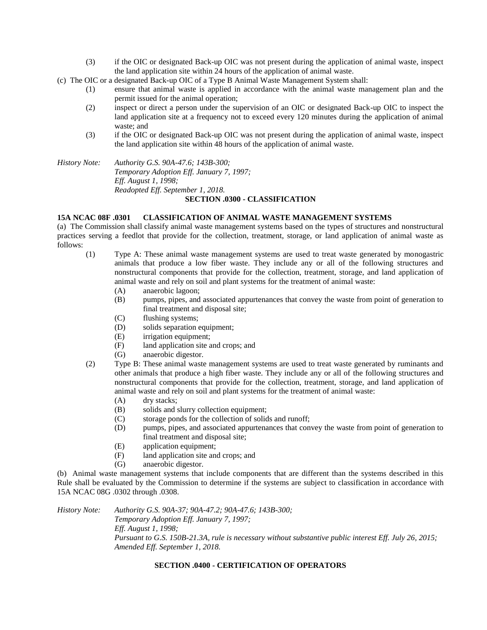- (3) if the OIC or designated Back-up OIC was not present during the application of animal waste, inspect the land application site within 24 hours of the application of animal waste.
- (c) The OIC or a designated Back-up OIC of a Type B Animal Waste Management System shall:
	- (1) ensure that animal waste is applied in accordance with the animal waste management plan and the permit issued for the animal operation;
	- (2) inspect or direct a person under the supervision of an OIC or designated Back-up OIC to inspect the land application site at a frequency not to exceed every 120 minutes during the application of animal waste; and
	- (3) if the OIC or designated Back-up OIC was not present during the application of animal waste, inspect the land application site within 48 hours of the application of animal waste.

*History Note: Authority G.S. 90A-47.6; 143B-300; Temporary Adoption Eff. January 7, 1997; Eff. August 1, 1998; Readopted Eff. September 1, 2018.* **SECTION .0300 - CLASSIFICATION**

#### **15A NCAC 08F .0301 CLASSIFICATION OF ANIMAL WASTE MANAGEMENT SYSTEMS**

(a) The Commission shall classify animal waste management systems based on the types of structures and nonstructural practices serving a feedlot that provide for the collection, treatment, storage, or land application of animal waste as follows:

- (1) Type A: These animal waste management systems are used to treat waste generated by monogastric animals that produce a low fiber waste. They include any or all of the following structures and nonstructural components that provide for the collection, treatment, storage, and land application of animal waste and rely on soil and plant systems for the treatment of animal waste:
	- (A) anaerobic lagoon;
	- (B) pumps, pipes, and associated appurtenances that convey the waste from point of generation to final treatment and disposal site;
	- (C) flushing systems;
	- (D) solids separation equipment;
	- (E) irrigation equipment;
	- (F) land application site and crops; and
	- (G) anaerobic digestor.
- (2) Type B: These animal waste management systems are used to treat waste generated by ruminants and other animals that produce a high fiber waste. They include any or all of the following structures and nonstructural components that provide for the collection, treatment, storage, and land application of animal waste and rely on soil and plant systems for the treatment of animal waste:
	- (A) dry stacks;
	- (B) solids and slurry collection equipment;
	- (C) storage ponds for the collection of solids and runoff;
	- (D) pumps, pipes, and associated appurtenances that convey the waste from point of generation to final treatment and disposal site;
	- (E) application equipment;
	- (F) land application site and crops; and
	- (G) anaerobic digestor.

(b) Animal waste management systems that include components that are different than the systems described in this Rule shall be evaluated by the Commission to determine if the systems are subject to classification in accordance with 15A NCAC 08G .0302 through .0308.

*History Note: Authority G.S. 90A-37; 90A-47.2; 90A-47.6; 143B-300; Temporary Adoption Eff. January 7, 1997; Eff. August 1, 1998; Pursuant to G.S. 150B-21.3A, rule is necessary without substantive public interest Eff. July 26, 2015; Amended Eff. September 1, 2018.*

### **SECTION .0400 - CERTIFICATION OF OPERATORS**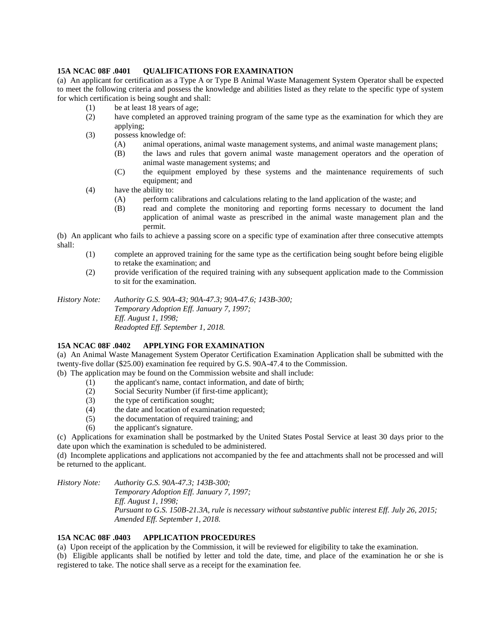## **15A NCAC 08F .0401 OUALIFICATIONS FOR EXAMINATION**

(a) An applicant for certification as a Type A or Type B Animal Waste Management System Operator shall be expected to meet the following criteria and possess the knowledge and abilities listed as they relate to the specific type of system for which certification is being sought and shall:

- (1) be at least 18 years of age;
- (2) have completed an approved training program of the same type as the examination for which they are applying;
- (3) possess knowledge of:
	- (A) animal operations, animal waste management systems, and animal waste management plans;
	- (B) the laws and rules that govern animal waste management operators and the operation of animal waste management systems; and
	- (C) the equipment employed by these systems and the maintenance requirements of such equipment; and
- (4) have the ability to:
	- (A) perform calibrations and calculations relating to the land application of the waste; and
	- (B) read and complete the monitoring and reporting forms necessary to document the land application of animal waste as prescribed in the animal waste management plan and the permit.

(b) An applicant who fails to achieve a passing score on a specific type of examination after three consecutive attempts shall:

- (1) complete an approved training for the same type as the certification being sought before being eligible to retake the examination; and
- (2) provide verification of the required training with any subsequent application made to the Commission to sit for the examination.

*History Note: Authority G.S. 90A-43; 90A-47.3; 90A-47.6; 143B-300; Temporary Adoption Eff. January 7, 1997; Eff. August 1, 1998; Readopted Eff. September 1, 2018.*

# **15A NCAC 08F .0402 APPLYING FOR EXAMINATION**

(a) An Animal Waste Management System Operator Certification Examination Application shall be submitted with the twenty-five dollar (\$25.00) examination fee required by G.S. 90A-47.4 to the Commission.

(b) The application may be found on the Commission website and shall include:

- (1) the applicant's name, contact information, and date of birth;
- (2) Social Security Number (if first-time applicant);
- (3) the type of certification sought;
- (4) the date and location of examination requested;
- (5) the documentation of required training; and
- (6) the applicant's signature.

(c) Applications for examination shall be postmarked by the United States Postal Service at least 30 days prior to the date upon which the examination is scheduled to be administered.

(d) Incomplete applications and applications not accompanied by the fee and attachments shall not be processed and will be returned to the applicant.

*History Note: Authority G.S. 90A-47.3; 143B-300; Temporary Adoption Eff. January 7, 1997; Eff. August 1, 1998; Pursuant to G.S. 150B-21.3A, rule is necessary without substantive public interest Eff. July 26, 2015; Amended Eff. September 1, 2018.*

# **15A NCAC 08F .0403 APPLICATION PROCEDURES**

(a) Upon receipt of the application by the Commission, it will be reviewed for eligibility to take the examination.

(b) Eligible applicants shall be notified by letter and told the date, time, and place of the examination he or she is registered to take. The notice shall serve as a receipt for the examination fee.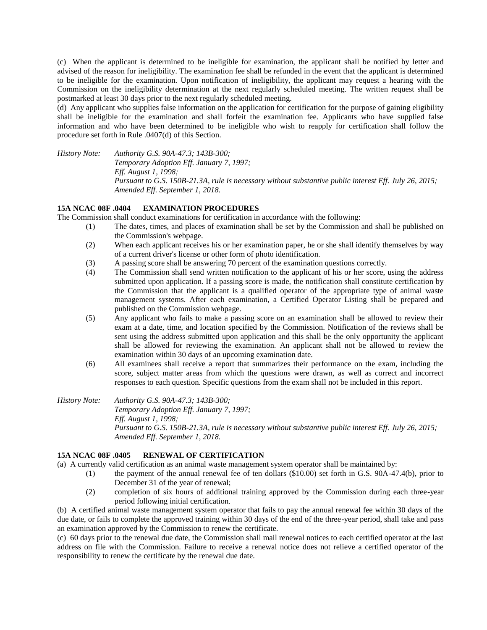(c) When the applicant is determined to be ineligible for examination, the applicant shall be notified by letter and advised of the reason for ineligibility. The examination fee shall be refunded in the event that the applicant is determined to be ineligible for the examination. Upon notification of ineligibility, the applicant may request a hearing with the Commission on the ineligibility determination at the next regularly scheduled meeting. The written request shall be postmarked at least 30 days prior to the next regularly scheduled meeting.

(d) Any applicant who supplies false information on the application for certification for the purpose of gaining eligibility shall be ineligible for the examination and shall forfeit the examination fee. Applicants who have supplied false information and who have been determined to be ineligible who wish to reapply for certification shall follow the procedure set forth in Rule .0407(d) of this Section.

*History Note: Authority G.S. 90A-47.3; 143B-300; Temporary Adoption Eff. January 7, 1997; Eff. August 1, 1998; Pursuant to G.S. 150B-21.3A, rule is necessary without substantive public interest Eff. July 26, 2015; Amended Eff. September 1, 2018.*

# **15A NCAC 08F .0404 EXAMINATION PROCEDURES**

The Commission shall conduct examinations for certification in accordance with the following:

- (1) The dates, times, and places of examination shall be set by the Commission and shall be published on the Commission's webpage.
- (2) When each applicant receives his or her examination paper, he or she shall identify themselves by way of a current driver's license or other form of photo identification.
- (3) A passing score shall be answering 70 percent of the examination questions correctly.
- (4) The Commission shall send written notification to the applicant of his or her score, using the address submitted upon application. If a passing score is made, the notification shall constitute certification by the Commission that the applicant is a qualified operator of the appropriate type of animal waste management systems. After each examination, a Certified Operator Listing shall be prepared and published on the Commission webpage.
- (5) Any applicant who fails to make a passing score on an examination shall be allowed to review their exam at a date, time, and location specified by the Commission. Notification of the reviews shall be sent using the address submitted upon application and this shall be the only opportunity the applicant shall be allowed for reviewing the examination. An applicant shall not be allowed to review the examination within 30 days of an upcoming examination date.
- (6) All examinees shall receive a report that summarizes their performance on the exam, including the score, subject matter areas from which the questions were drawn, as well as correct and incorrect responses to each question. Specific questions from the exam shall not be included in this report.

*History Note: Authority G.S. 90A-47.3; 143B-300; Temporary Adoption Eff. January 7, 1997; Eff. August 1, 1998; Pursuant to G.S. 150B-21.3A, rule is necessary without substantive public interest Eff. July 26, 2015; Amended Eff. September 1, 2018.*

# **15A NCAC 08F .0405 RENEWAL OF CERTIFICATION**

(a) A currently valid certification as an animal waste management system operator shall be maintained by:

- (1) the payment of the annual renewal fee of ten dollars (\$10.00) set forth in G.S. 90A-47.4(b), prior to December 31 of the year of renewal;
- (2) completion of six hours of additional training approved by the Commission during each three-year period following initial certification.

(b) A certified animal waste management system operator that fails to pay the annual renewal fee within 30 days of the due date, or fails to complete the approved training within 30 days of the end of the three-year period, shall take and pass an examination approved by the Commission to renew the certificate.

(c) 60 days prior to the renewal due date, the Commission shall mail renewal notices to each certified operator at the last address on file with the Commission. Failure to receive a renewal notice does not relieve a certified operator of the responsibility to renew the certificate by the renewal due date.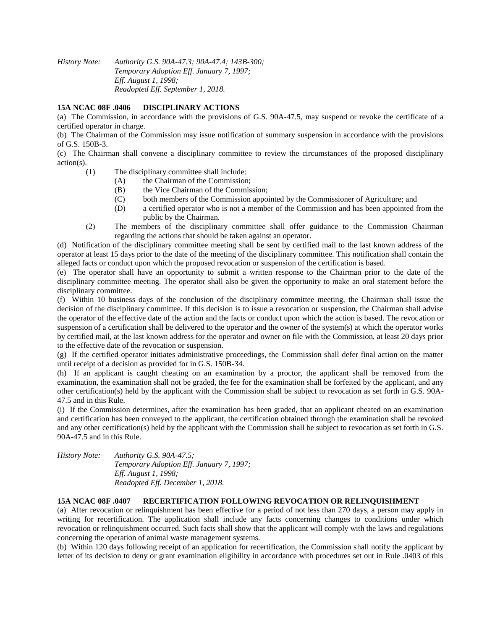*History Note: Authority G.S. 90A-47.3; 90A-47.4; 143B-300; Temporary Adoption Eff. January 7, 1997; Eff. August 1, 1998; Readopted Eff. September 1, 2018.*

# **15A NCAC 08F .0406 DISCIPLINARY ACTIONS**

(a) The Commission, in accordance with the provisions of G.S. 90A-47.5, may suspend or revoke the certificate of a certified operator in charge.

(b) The Chairman of the Commission may issue notification of summary suspension in accordance with the provisions of G.S. 150B-3.

(c) The Chairman shall convene a disciplinary committee to review the circumstances of the proposed disciplinary action(s).

- (1) The disciplinary committee shall include:
	- (A) the Chairman of the Commission;
	- (B) the Vice Chairman of the Commission;
	- (C) both members of the Commission appointed by the Commissioner of Agriculture; and
	- (D) a certified operator who is not a member of the Commission and has been appointed from the public by the Chairman.
- (2) The members of the disciplinary committee shall offer guidance to the Commission Chairman regarding the actions that should be taken against an operator.

(d) Notification of the disciplinary committee meeting shall be sent by certified mail to the last known address of the operator at least 15 days prior to the date of the meeting of the disciplinary committee. This notification shall contain the alleged facts or conduct upon which the proposed revocation or suspension of the certification is based.

(e) The operator shall have an opportunity to submit a written response to the Chairman prior to the date of the disciplinary committee meeting. The operator shall also be given the opportunity to make an oral statement before the disciplinary committee.

(f) Within 10 business days of the conclusion of the disciplinary committee meeting, the Chairman shall issue the decision of the disciplinary committee. If this decision is to issue a revocation or suspension, the Chairman shall advise the operator of the effective date of the action and the facts or conduct upon which the action is based. The revocation or suspension of a certification shall be delivered to the operator and the owner of the system(s) at which the operator works by certified mail, at the last known address for the operator and owner on file with the Commission, at least 20 days prior to the effective date of the revocation or suspension.

(g) If the certified operator initiates administrative proceedings, the Commission shall defer final action on the matter until receipt of a decision as provided for in G.S. 150B-34.

(h) If an applicant is caught cheating on an examination by a proctor, the applicant shall be removed from the examination, the examination shall not be graded, the fee for the examination shall be forfeited by the applicant, and any other certification(s) held by the applicant with the Commission shall be subject to revocation as set forth in G.S. 90A-47.5 and in this Rule.

(i) If the Commission determines, after the examination has been graded, that an applicant cheated on an examination and certification has been conveyed to the applicant, the certification obtained through the examination shall be revoked and any other certification(s) held by the applicant with the Commission shall be subject to revocation as set forth in G.S. 90A-47.5 and in this Rule.

*History Note: Authority G.S. 90A-47.5; Temporary Adoption Eff. January 7, 1997; Eff. August 1, 1998; Readopted Eff. December 1, 2018.*

### **15A NCAC 08F .0407 RECERTIFICATION FOLLOWING REVOCATION OR RELINQUISHMENT**

(a) After revocation or relinquishment has been effective for a period of not less than 270 days, a person may apply in writing for recertification. The application shall include any facts concerning changes to conditions under which revocation or relinquishment occurred. Such facts shall show that the applicant will comply with the laws and regulations concerning the operation of animal waste management systems.

(b) Within 120 days following receipt of an application for recertification, the Commission shall notify the applicant by letter of its decision to deny or grant examination eligibility in accordance with procedures set out in Rule .0403 of this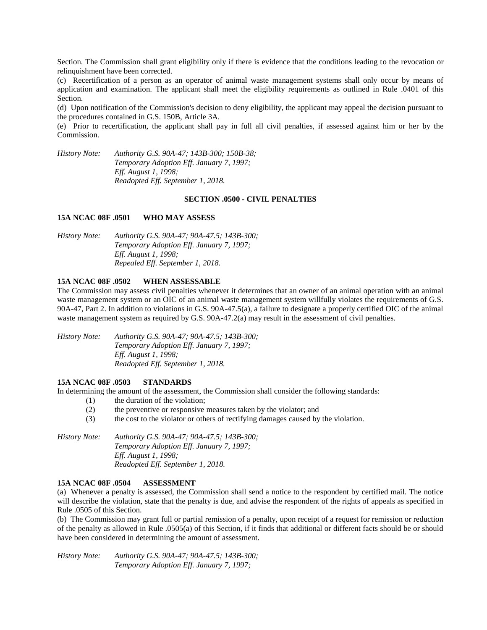Section. The Commission shall grant eligibility only if there is evidence that the conditions leading to the revocation or relinquishment have been corrected.

(c) Recertification of a person as an operator of animal waste management systems shall only occur by means of application and examination. The applicant shall meet the eligibility requirements as outlined in Rule .0401 of this Section.

(d) Upon notification of the Commission's decision to deny eligibility, the applicant may appeal the decision pursuant to the procedures contained in G.S. 150B, Article 3A.

(e) Prior to recertification, the applicant shall pay in full all civil penalties, if assessed against him or her by the Commission.

*History Note: Authority G.S. 90A-47; 143B-300; 150B-38; Temporary Adoption Eff. January 7, 1997; Eff. August 1, 1998; Readopted Eff. September 1, 2018.*

#### **SECTION .0500 - CIVIL PENALTIES**

#### **15A NCAC 08F .0501 WHO MAY ASSESS**

| <i>History Note:</i> | Authority G.S. 90A-47; 90A-47.5; 143B-300; |
|----------------------|--------------------------------------------|
|                      | Temporary Adoption Eff. January 7, 1997;   |
|                      | <i>Eff. August 1, 1998;</i>                |
|                      | Repealed Eff. September 1, 2018.           |

#### **15A NCAC 08F .0502 WHEN ASSESSABLE**

The Commission may assess civil penalties whenever it determines that an owner of an animal operation with an animal waste management system or an OIC of an animal waste management system willfully violates the requirements of G.S. 90A-47, Part 2. In addition to violations in G.S. 90A-47.5(a), a failure to designate a properly certified OIC of the animal waste management system as required by G.S. 90A-47.2(a) may result in the assessment of civil penalties.

*History Note: Authority G.S. 90A-47; 90A-47.5; 143B-300; Temporary Adoption Eff. January 7, 1997; Eff. August 1, 1998; Readopted Eff. September 1, 2018.*

#### **15A NCAC 08F .0503 STANDARDS**

In determining the amount of the assessment, the Commission shall consider the following standards:

- (1) the duration of the violation;
	- (2) the preventive or responsive measures taken by the violator; and
	- (3) the cost to the violator or others of rectifying damages caused by the violation.

*History Note: Authority G.S. 90A-47; 90A-47.5; 143B-300; Temporary Adoption Eff. January 7, 1997; Eff. August 1, 1998; Readopted Eff. September 1, 2018.*

#### **15A NCAC 08F .0504 ASSESSMENT**

(a) Whenever a penalty is assessed, the Commission shall send a notice to the respondent by certified mail. The notice will describe the violation, state that the penalty is due, and advise the respondent of the rights of appeals as specified in Rule .0505 of this Section.

(b) The Commission may grant full or partial remission of a penalty, upon receipt of a request for remission or reduction of the penalty as allowed in Rule .0505(a) of this Section, if it finds that additional or different facts should be or should have been considered in determining the amount of assessment.

*History Note: Authority G.S. 90A-47; 90A-47.5; 143B-300; Temporary Adoption Eff. January 7, 1997;*